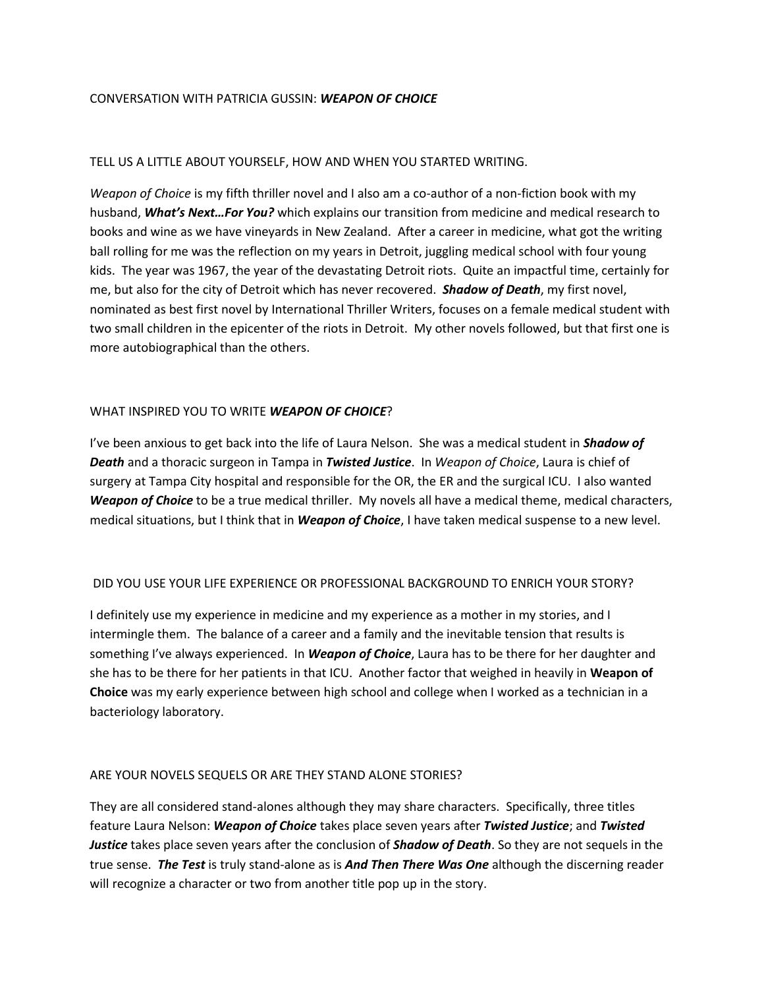#### CONVERSATION WITH PATRICIA GUSSIN: *WEAPON OF CHOICE*

#### TELL US A LITTLE ABOUT YOURSELF, HOW AND WHEN YOU STARTED WRITING.

*Weapon of Choice* is my fifth thriller novel and I also am a co-author of a non-fiction book with my husband, *What's Next…For You?* which explains our transition from medicine and medical research to books and wine as we have vineyards in New Zealand. After a career in medicine, what got the writing ball rolling for me was the reflection on my years in Detroit, juggling medical school with four young kids. The year was 1967, the year of the devastating Detroit riots. Quite an impactful time, certainly for me, but also for the city of Detroit which has never recovered. *Shadow of Death*, my first novel, nominated as best first novel by International Thriller Writers, focuses on a female medical student with two small children in the epicenter of the riots in Detroit. My other novels followed, but that first one is more autobiographical than the others.

#### WHAT INSPIRED YOU TO WRITE *WEAPON OF CHOICE*?

I've been anxious to get back into the life of Laura Nelson. She was a medical student in *Shadow of Death* and a thoracic surgeon in Tampa in *Twisted Justice*. In *Weapon of Choice*, Laura is chief of surgery at Tampa City hospital and responsible for the OR, the ER and the surgical ICU. I also wanted *Weapon of Choice* to be a true medical thriller. My novels all have a medical theme, medical characters, medical situations, but I think that in *Weapon of Choice*, I have taken medical suspense to a new level.

# DID YOU USE YOUR LIFE EXPERIENCE OR PROFESSIONAL BACKGROUND TO ENRICH YOUR STORY?

I definitely use my experience in medicine and my experience as a mother in my stories, and I intermingle them. The balance of a career and a family and the inevitable tension that results is something I've always experienced. In *Weapon of Choice*, Laura has to be there for her daughter and she has to be there for her patients in that ICU. Another factor that weighed in heavily in **Weapon of Choice** was my early experience between high school and college when I worked as a technician in a bacteriology laboratory.

#### ARE YOUR NOVELS SEQUELS OR ARE THEY STAND ALONE STORIES?

They are all considered stand-alones although they may share characters. Specifically, three titles feature Laura Nelson: *Weapon of Choice* takes place seven years after *Twisted Justice*; and *Twisted Justice* takes place seven years after the conclusion of *Shadow of Death*. So they are not sequels in the true sense. *The Test* is truly stand-alone as is *And Then There Was One* although the discerning reader will recognize a character or two from another title pop up in the story.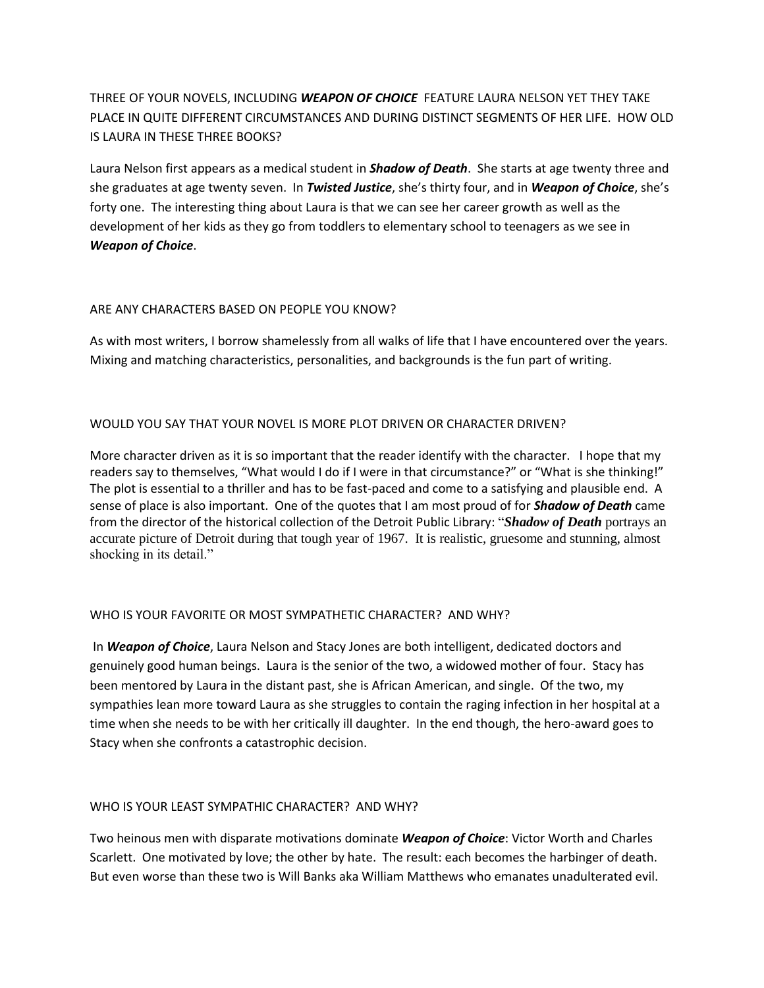THREE OF YOUR NOVELS, INCLUDING *WEAPON OF CHOICE* FEATURE LAURA NELSON YET THEY TAKE PLACE IN QUITE DIFFERENT CIRCUMSTANCES AND DURING DISTINCT SEGMENTS OF HER LIFE. HOW OLD IS LAURA IN THESE THREE BOOKS?

Laura Nelson first appears as a medical student in *Shadow of Death*. She starts at age twenty three and she graduates at age twenty seven. In *Twisted Justice*, she's thirty four, and in *Weapon of Choice*, she's forty one. The interesting thing about Laura is that we can see her career growth as well as the development of her kids as they go from toddlers to elementary school to teenagers as we see in *Weapon of Choice*.

# ARE ANY CHARACTERS BASED ON PEOPLE YOU KNOW?

As with most writers, I borrow shamelessly from all walks of life that I have encountered over the years. Mixing and matching characteristics, personalities, and backgrounds is the fun part of writing.

# WOULD YOU SAY THAT YOUR NOVEL IS MORE PLOT DRIVEN OR CHARACTER DRIVEN?

More character driven as it is so important that the reader identify with the character. I hope that my readers say to themselves, "What would I do if I were in that circumstance?" or "What is she thinking!" The plot is essential to a thriller and has to be fast-paced and come to a satisfying and plausible end. A sense of place is also important. One of the quotes that I am most proud of for *Shadow of Death* came from the director of the historical collection of the Detroit Public Library: "*Shadow of Death* portrays an accurate picture of Detroit during that tough year of 1967. It is realistic, gruesome and stunning, almost shocking in its detail."

# WHO IS YOUR FAVORITE OR MOST SYMPATHETIC CHARACTER? AND WHY?

In *Weapon of Choice*, Laura Nelson and Stacy Jones are both intelligent, dedicated doctors and genuinely good human beings. Laura is the senior of the two, a widowed mother of four. Stacy has been mentored by Laura in the distant past, she is African American, and single. Of the two, my sympathies lean more toward Laura as she struggles to contain the raging infection in her hospital at a time when she needs to be with her critically ill daughter. In the end though, the hero-award goes to Stacy when she confronts a catastrophic decision.

# WHO IS YOUR LEAST SYMPATHIC CHARACTER? AND WHY?

Two heinous men with disparate motivations dominate *Weapon of Choice*: Victor Worth and Charles Scarlett. One motivated by love; the other by hate. The result: each becomes the harbinger of death. But even worse than these two is Will Banks aka William Matthews who emanates unadulterated evil.